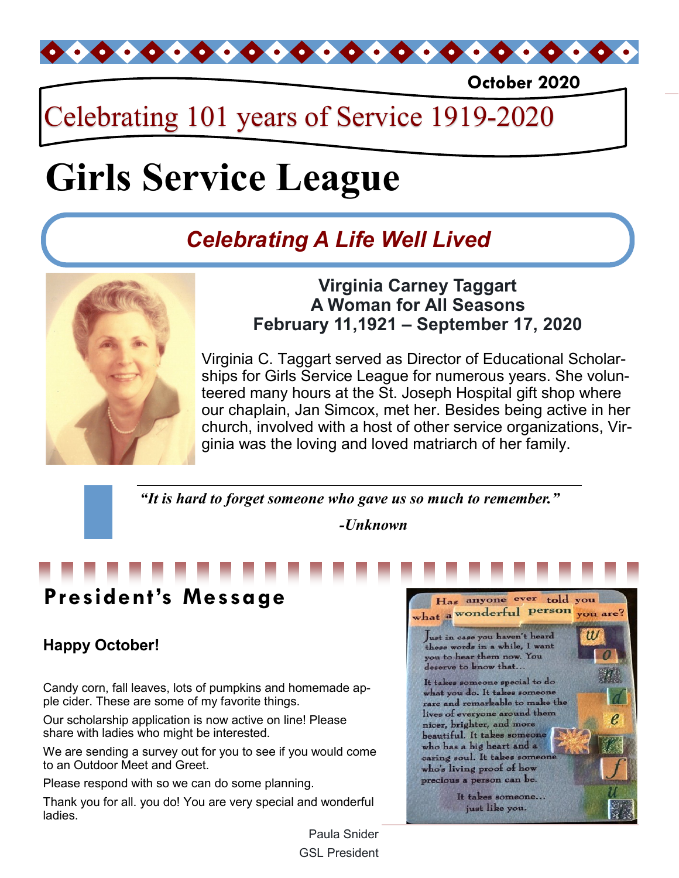

**October 2020**

## Celebrating 101 years of Service 1919-2020

# **Girls Service League**

## *Celebrating A Life Well Lived*



### **Virginia Carney Taggart A Woman for All Seasons February 11,1921 – September 17, 2020**

Virginia C. Taggart served as Director of Educational Scholarships for Girls Service League for numerous years. She volunteered many hours at the St. Joseph Hospital gift shop where our chaplain, Jan Simcox, met her. Besides being active in her church, involved with a host of other service organizations, Virginia was the loving and loved matriarch of her family.

*"It is hard to forget someone who gave us so much to remember."*

*-Unknown*

## **President's Message**

## **Happy October!**

Candy corn, fall leaves, lots of pumpkins and homemade apple cider. These are some of my favorite things.

Our scholarship application is now active on line! Please share with ladies who might be interested.

We are sending a survey out for you to see if you would come to an Outdoor Meet and Greet.

Please respond with so we can do some planning.

Thank you for all. you do! You are very special and wonderful ladies.



Paula Snider GSL President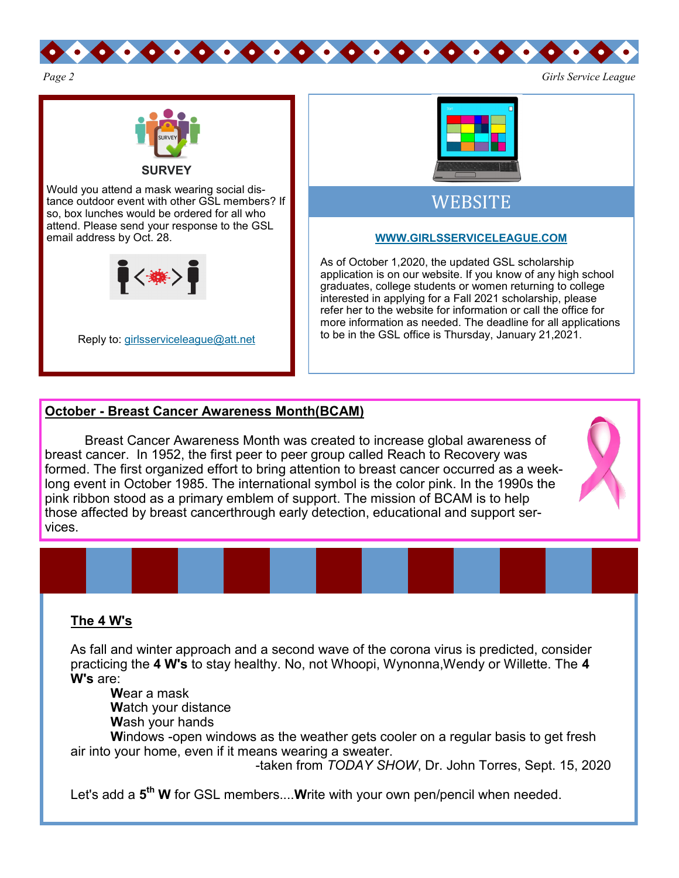



Would you attend a mask wearing social distance outdoor event with other GSL members? If so, box lunches would be ordered for all who attend. Please send your response to the GSL email address by Oct. 28.



Reply to: [girlsserviceleague@att.net](mailto:girlsserviceleague@att.net)

| Start |  | Ξ |
|-------|--|---|
|       |  |   |
|       |  |   |
|       |  |   |
|       |  |   |

### WEBSITE

#### **[WWW.GIRLSSERVICELEAGUE.COM](http://WWW.GIRLSSERVICELEAGUE.COM)**

As of October 1,2020, the updated GSL scholarship application is on our website. If you know of any high school graduates, college students or women returning to college interested in applying for a Fall 2021 scholarship, please refer her to the website for information or call the office for more information as needed. The deadline for all applications to be in the GSL office is Thursday, January 21,2021.

#### **October - Breast Cancer Awareness Month(BCAM)**

Breast Cancer Awareness Month was created to increase global awareness of breast cancer. In 1952, the first peer to peer group called Reach to Recovery was formed. The first organized effort to bring attention to breast cancer occurred as a weeklong event in October 1985. The international symbol is the color pink. In the 1990s the pink ribbon stood as a primary emblem of support. The mission of BCAM is to help those affected by breast cancerthrough early detection, educational and support services.

#### **The 4 W's**

As fall and winter approach and a second wave of the corona virus is predicted, consider practicing the **4 W's** to stay healthy. No, not Whoopi, Wynonna,Wendy or Willette. The **4 W's** are:

**W**ear a mask

**W**atch your distance

**W**ash your hands

**W**indows -open windows as the weather gets cooler on a regular basis to get fresh air into your home, even if it means wearing a sweater.

-taken from *TODAY SHOW*, Dr. John Torres, Sept. 15, 2020

Let's add a **5 th W** for GSL members....**W**rite with your own pen/pencil when needed.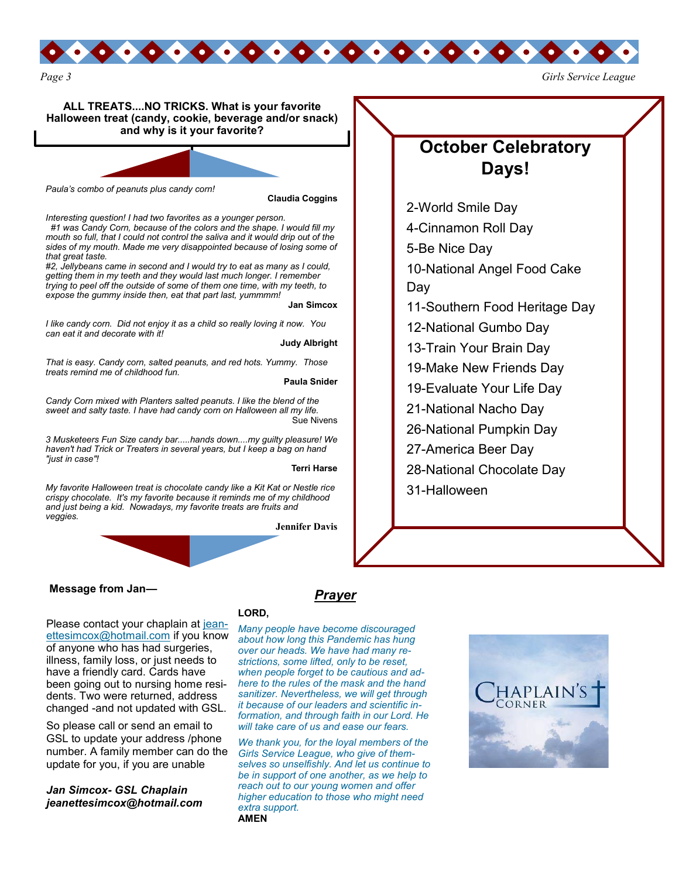

**ALL TREATS....NO TRICKS. What is your favorite Halloween treat (candy, cookie, beverage and/or snack) and why is it your favorite?**

*Paula's combo of peanuts plus candy corn!*

**Claudia Coggins**

*Interesting question! I had two favorites as a younger person. #1 was Candy Corn, because of the colors and the shape. I would fill my mouth so full, that I could not control the saliva and it would drip out of the sides of my mouth. Made me very disappointed because of losing some of* 

*that great taste. #2, Jellybeans came in second and I would try to eat as many as I could, getting them in my teeth and they would last much longer. I remember trying to peel off the outside of some of them one time, with my teeth, to expose the gummy inside then, eat that part last, yummmm!*

**Jan Simcox**

*I like candy corn. Did not enjoy it as a child so really loving it now. You can eat it and decorate with it!* 

**Judy Albright**

*That is easy. Candy corn, salted peanuts, and red hots. Yummy. Those treats remind me of childhood fun.*

**Paula Snider**

*Candy Corn mixed with Planters salted peanuts. I like the blend of the sweet and salty taste. I have had candy corn on Halloween all my life.* Sue Nivens

*3 Musketeers Fun Size candy bar.....hands down....my guilty pleasure! We haven't had Trick or Treaters in several years, but I keep a bag on hand "just in case"!*

**Terri Harse**

*My favorite Halloween treat is chocolate candy like a Kit Kat or Nestle rice crispy chocolate. It's my favorite because it reminds me of my childhood and just being a kid. Nowadays, my favorite treats are fruits and veggies.* 

**Jennifer Davis**

#### **Message from Jan—**

Please contact your chaplain at [jean](mailto:jeanettesimcox@hotmail.com)[ettesimcox@hotmail.com](mailto:jeanettesimcox@hotmail.com) if you know of anyone who has had surgeries, illness, family loss, or just needs to have a friendly card. Cards have been going out to nursing home residents. Two were returned, address changed -and not updated with GSL.

So please call or send an email to GSL to update your address /phone number. A family member can do the update for you, if you are unable

*Jan Simcox- GSL Chaplain jeanettesimcox@hotmail.com*

#### **LORD,**

*Many people have become discouraged about how long this Pandemic has hung over our heads. We have had many restrictions, some lifted, only to be reset, when people forget to be cautious and adhere to the rules of the mask and the hand sanitizer. Nevertheless, we will get through it because of our leaders and scientific information, and through faith in our Lord. He will take care of us and ease our fears.* 

*Prayer*

*We thank you, for the loyal members of the Girls Service League, who give of themselves so unselfishly. And let us continue to be in support of one another, as we help to reach out to our young women and offer higher education to those who might need extra support.* **AMEN**



## **October Celebratory Days!**

-World Smile Day -Cinnamon Roll Day -Be Nice Day -National Angel Food Cake Day -Southern Food Heritage Day -National Gumbo Day -Train Your Brain Day -Make New Friends Day -Evaluate Your Life Day -National Nacho Day -National Pumpkin Day -America Beer Day -National Chocolate Day -Halloween